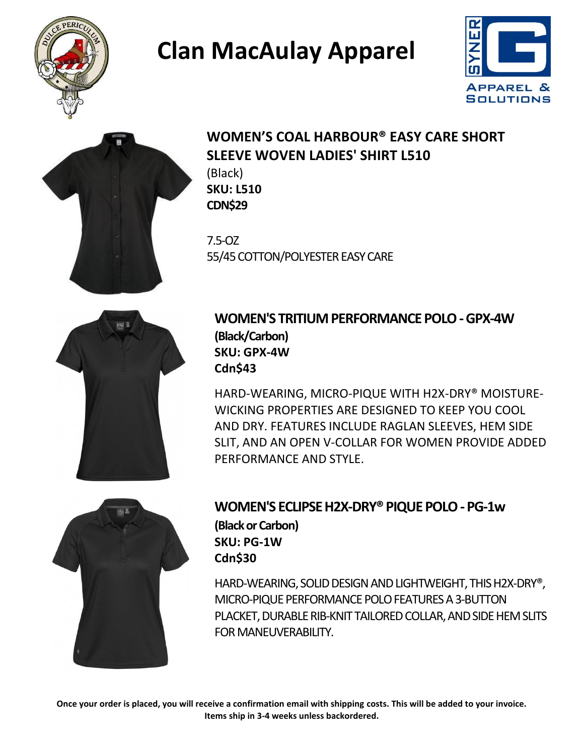





### **WOMEN'S COAL HARBOUR® EASY CARE SHORT SLEEVE WOVEN LADIES' SHIRT L510**

(Black) **SKU: L510 CDN\$29**

7.5-OZ 55/45 COTTON/POLYESTER EASY CARE



**WOMEN'S TRITIUM PERFORMANCE POLO -GPX-4W (Black/Carbon) SKU: GPX-4W Cdn\$43**

HARD-WEARING, MICRO-PIQUE WITH H2X-DRY® MOISTURE-WICKING PROPERTIES ARE DESIGNED TO KEEP YOU COOL AND DRY. FEATURES INCLUDE RAGLAN SLEEVES, HEM SIDE SLIT, AND AN OPEN V-COLLAR FOR WOMEN PROVIDE ADDED PERFORMANCE AND STYLE.



#### **WOMEN'S ECLIPSE H2X-DRY® PIQUE POLO - PG-1w (Black or Carbon) SKU: PG-1W Cdn\$30**

HARD-WEARING, SOLID DESIGN AND LIGHTWEIGHT, THIS H2X-DRY®, MICRO-PIQUE PERFORMANCE POLO FEATURES A 3-BUTTON PLACKET, DURABLE RIB-KNIT TAILORED COLLAR, AND SIDE HEM SLITS FOR MANEUVERABILITY.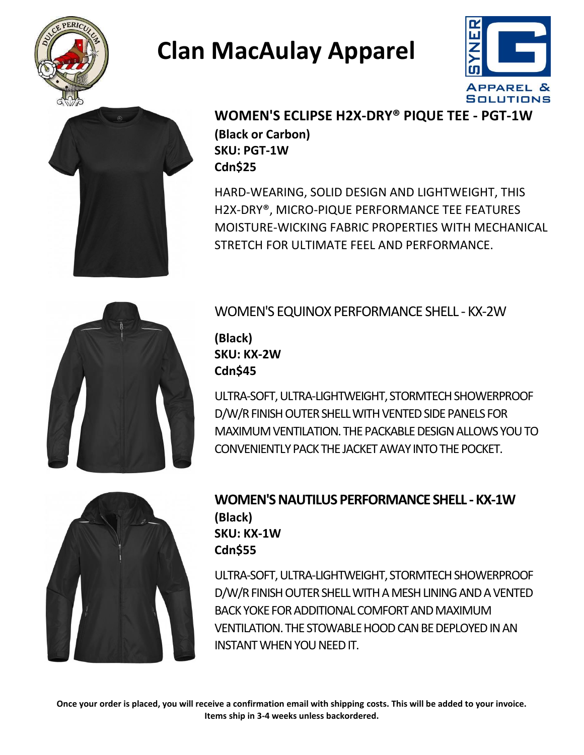





#### **WOMEN'S ECLIPSE H2X-DRY® PIQUE TEE - PGT-1W (Black or Carbon) SKU: PGT-1W Cdn\$25**

HARD-WEARING, SOLID DESIGN AND LIGHTWEIGHT, THIS H2X-DRY®, MICRO-PIQUE PERFORMANCE TEE FEATURES MOISTURE-WICKING FABRIC PROPERTIES WITH MECHANICAL STRETCH FOR ULTIMATE FEEL AND PERFORMANCE.



WOMEN'S EQUINOX PERFORMANCE SHELL - KX-2W

**(Black) SKU: KX-2W Cdn\$45**

ULTRA-SOFT, ULTRA-LIGHTWEIGHT, STORMTECH SHOWERPROOF D/W/R FINISH OUTER SHELL WITH VENTED SIDE PANELS FOR MAXIMUM VENTILATION. THE PACKABLE DESIGNALLOWS YOU TO CONVENIENTLY PACK THE JACKET AWAY INTO THE POCKET.



#### **WOMEN'S NAUTILUS PERFORMANCE SHELL - KX-1W (Black) SKU: KX-1W Cdn\$55**

ULTRA-SOFT, ULTRA-LIGHTWEIGHT, STORMTECHSHOWERPROOF D/W/R FINISH OUTER SHELL WITH A MESH LINING AND A VENTED BACK YOKE FOR ADDITIONAL COMFORT AND MAXIMUM VENTILATION. THE STOWABLE HOOD CAN BE DEPLOYED IN AN INSTANT WHEN YOU NEED IT.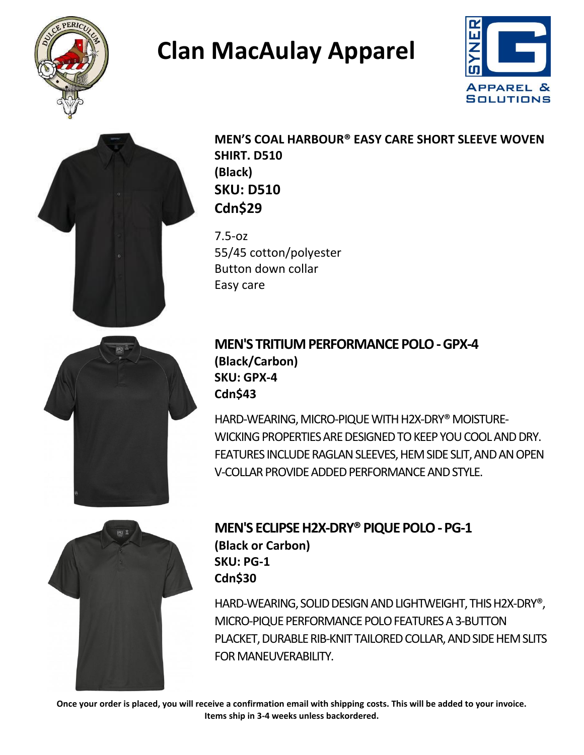





**MEN'S COAL HARBOUR® EASY CARE SHORT SLEEVE WOVEN SHIRT. D510 (Black) SKU: D510 Cdn\$29**

7.5-oz 55/45 cotton/polyester Button down collar Easy care



#### **MEN'S TRITIUM PERFORMANCE POLO -GPX-4 (Black/Carbon) SKU: GPX-4 Cdn\$43**

HARD-WEARING, MICRO-PIQUE WITH H2X-DRY® MOISTURE-WICKING PROPERTIES ARE DESIGNED TO KEEP YOU COOL AND DRY. FEATURES INCLUDE RAGLAN SLEEVES, HEM SIDE SLIT, AND AN OPEN V-COLLAR PROVIDE ADDED PERFORMANCE AND STYLE.



#### **MEN'S ECLIPSE H2X-DRY® PIQUE POLO -PG-1 (Black or Carbon) SKU: PG-1 Cdn\$30**

HARD-WEARING, SOLID DESIGN AND LIGHTWEIGHT, THIS H2X-DRY®, MICRO-PIQUE PERFORMANCE POLO FEATURES A 3-BUTTON PLACKET, DURABLE RIB-KNIT TAILORED COLLAR, ANDSIDE HEM SLITS FOR MANEUVERABILITY.